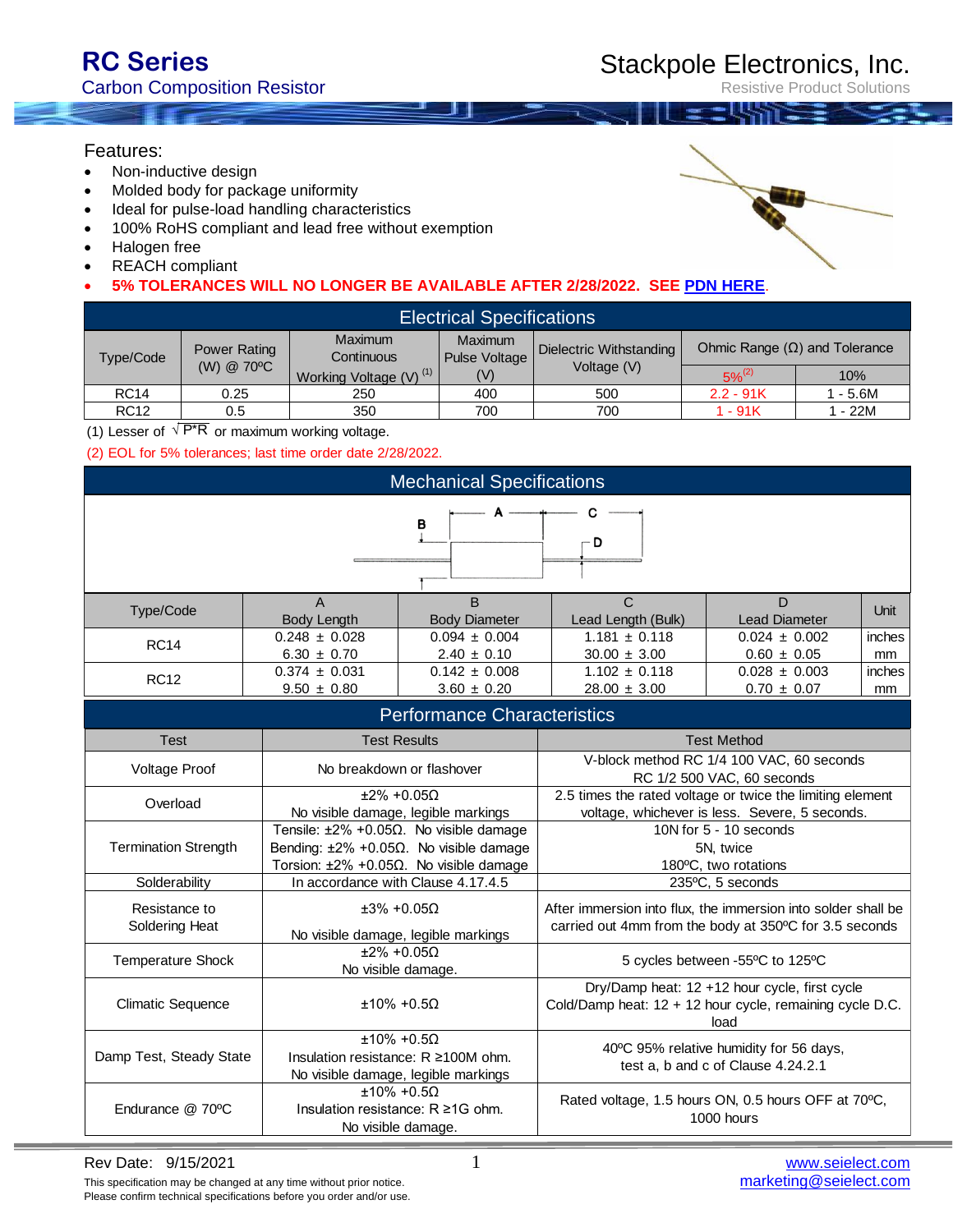Resistive Product Solutions

#### Features:

- Non-inductive design
- Molded body for package uniformity
- Ideal for pulse-load handling characteristics
- 100% RoHS compliant and lead free without exemption
- Halogen free
- REACH compliant
- **5% TOLERANCES WILL NO LONGER BE AVAILABLE AFTER 2/28/2022. SEE [PDN HERE](https://www.seielect.com/catalog/PDN%202021-03.pdf)**.

| <b>Electrical Specifications</b> |                            |                                    |                                 |                                        |                                      |         |  |
|----------------------------------|----------------------------|------------------------------------|---------------------------------|----------------------------------------|--------------------------------------|---------|--|
| Type/Code                        | Power Rating<br>(W) @ 70°C | <b>Maximum</b><br>Continuous       | <b>Maximum</b><br>Pulse Voltage | Dielectric Withstanding<br>Voltage (V) | Ohmic Range $(\Omega)$ and Tolerance |         |  |
|                                  |                            | Working Voltage (V) <sup>(1)</sup> | (V)                             |                                        | $5\%^{(2)}$                          | 10%     |  |
| <b>RC14</b>                      | 0.25                       | 250                                | 400                             | 500                                    | $2.2 - 91K$                          | - 5.6M  |  |
| <b>RC12</b>                      | 0.5                        | 350                                | 700                             | 700                                    | 1 - 91K                              | 1 - 22M |  |

(1) Lesser of  $\sqrt{P^*R}$  or maximum working voltage.

(2) EOL for 5% tolerances; last time order date 2/28/2022.

| <b>Mechanical Specifications</b> |  |  |   |  |  |  |
|----------------------------------|--|--|---|--|--|--|
|                                  |  |  |   |  |  |  |
|                                  |  |  | D |  |  |  |
|                                  |  |  |   |  |  |  |

| Type/Code   |                    |                      |                    |                   | Unit     |
|-------------|--------------------|----------------------|--------------------|-------------------|----------|
|             | <b>Body Lenath</b> | <b>Body Diameter</b> | Lead Length (Bulk) | Lead Diameter     |          |
| <b>RC14</b> | $0.248 \pm 0.028$  | $0.094 \pm 0.004$    | $1.181 \pm 0.118$  | $0.024 \pm 0.002$ | inches l |
|             | $6.30 \pm 0.70$    | $2.40 \pm 0.10$      | $30.00 \pm 3.00$   | $0.60 \pm 0.05$   | mm       |
| <b>RC12</b> | $0.374 \pm 0.031$  | $0.142 \pm 0.008$    | $1.102 \pm 0.118$  | $0.028 \pm 0.003$ | inches l |
|             | $9.50 \pm 0.80$    | $3.60 \pm 0.20$      | $28.00 \pm 3.00$   | $0.70 \pm 0.07$   | mm       |

| <b>Performance Characteristics</b> |                                                                                                                                                                     |                                                                                                                         |  |  |  |
|------------------------------------|---------------------------------------------------------------------------------------------------------------------------------------------------------------------|-------------------------------------------------------------------------------------------------------------------------|--|--|--|
| <b>Test</b>                        | <b>Test Results</b>                                                                                                                                                 | <b>Test Method</b>                                                                                                      |  |  |  |
| Voltage Proof                      | No breakdown or flashover                                                                                                                                           | V-block method RC 1/4 100 VAC, 60 seconds<br>RC 1/2 500 VAC, 60 seconds                                                 |  |  |  |
| Overload                           | $±2\% +0.05\Omega$<br>No visible damage, legible markings                                                                                                           | 2.5 times the rated voltage or twice the limiting element<br>voltage, whichever is less. Severe, 5 seconds.             |  |  |  |
| <b>Termination Strength</b>        | Tensile: $\pm 2\%$ +0.05 $\Omega$ . No visible damage<br>Bending: $\pm 2\% + 0.05\Omega$ . No visible damage<br>Torsion: $\pm 2\% + 0.05\Omega$ . No visible damage | 10N for $5 - 10$ seconds<br>5N, twice<br>180°C, two rotations                                                           |  |  |  |
| Solderability                      | In accordance with Clause 4.17.4.5                                                                                                                                  | 235°C, 5 seconds                                                                                                        |  |  |  |
| Resistance to<br>Soldering Heat    | $+3\% +0.050$<br>No visible damage, legible markings                                                                                                                | After immersion into flux, the immersion into solder shall be<br>carried out 4mm from the body at 350°C for 3.5 seconds |  |  |  |
| <b>Temperature Shock</b>           | $±2\% +0.05No visible damage.$                                                                                                                                      | 5 cycles between -55°C to 125°C                                                                                         |  |  |  |
| <b>Climatic Sequence</b>           | $+10\% + 0.50$                                                                                                                                                      | Dry/Damp heat: 12 +12 hour cycle, first cycle<br>Cold/Damp heat: $12 + 12$ hour cycle, remaining cycle D.C.<br>load     |  |  |  |
| Damp Test, Steady State            | $±10\% +0.5Ω$<br>Insulation resistance: $R \ge 100M$ ohm.<br>No visible damage, legible markings                                                                    | 40°C 95% relative humidity for 56 days,<br>test a, b and c of Clause 4.24.2.1                                           |  |  |  |
| Endurance @ 70°C                   | $±10\% +0.5Insulation resistance: R \geq 1G ohm.No visible damage.$                                                                                                 | Rated voltage, 1.5 hours ON, 0.5 hours OFF at 70°C,<br>1000 hours                                                       |  |  |  |

This specification may be changed at any time without prior notice. Please confirm technical specifications before you order and/or use.

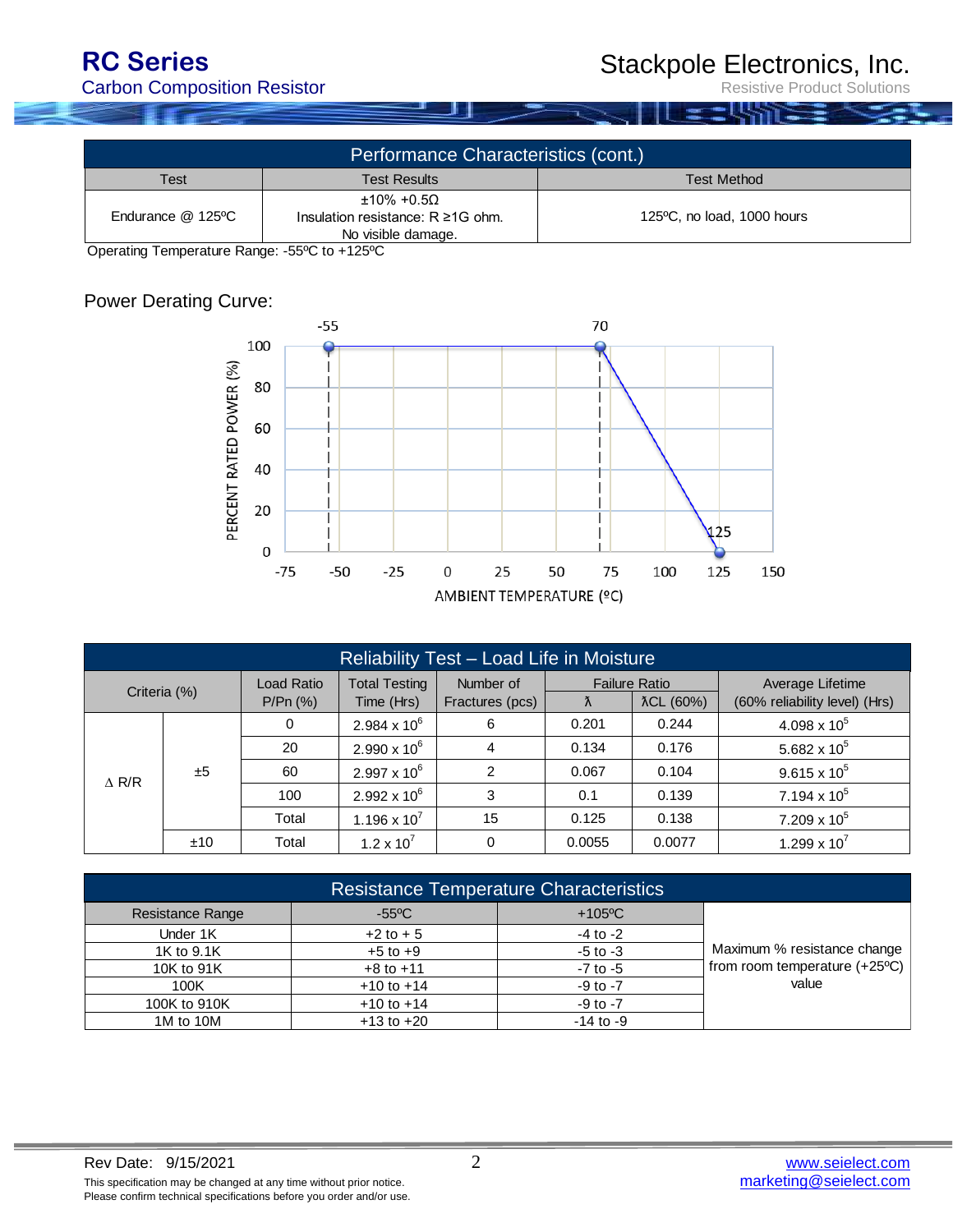## Stackpole Electronics, Inc.

Resistive Product Solutions

| Performance Characteristics (cont.)               |                                                                                            |                            |  |  |  |
|---------------------------------------------------|--------------------------------------------------------------------------------------------|----------------------------|--|--|--|
| <b>Test Method</b><br><b>Test Results</b><br>Test |                                                                                            |                            |  |  |  |
| Endurance @ 125°C                                 | $\pm 10\%$ +0.5 $\Omega$<br>Insulation resistance: $R \geq 1$ G ohm.<br>No visible damage. | 125°C, no load, 1000 hours |  |  |  |

Operating Temperature Range: -55ºC to +125ºC

## Power Derating Curve:



| Reliability Test - Load Life in Moisture |     |                        |                                    |                              |                                        |        |                                                   |                     |
|------------------------------------------|-----|------------------------|------------------------------------|------------------------------|----------------------------------------|--------|---------------------------------------------------|---------------------|
| Criteria (%)                             |     | Load Ratio<br>P/Pr(% ) | <b>Total Testing</b><br>Time (Hrs) | Number of<br>Fractures (pcs) | <b>Failure Ratio</b><br>λCL (60%)<br>Λ |        | Average Lifetime<br>(60% reliability level) (Hrs) |                     |
|                                          |     | 0                      | $2.984 \times 10^6$                | 6                            | 0.201                                  | 0.244  | 4.098 x $10^5$                                    |                     |
|                                          | ±5  | 20                     | $2.990 \times 10^6$                | 4                            | 0.134                                  | 0.176  | 5.682 x $10^5$                                    |                     |
| $\triangle$ R/R                          |     | 60                     | $2.997 \times 10^6$                | 2                            | 0.067                                  | 0.104  | $9.615 \times 10^5$                               |                     |
|                                          |     |                        | 100                                | $2.992 \times 10^6$          | 3                                      | 0.1    | 0.139                                             | $7.194 \times 10^5$ |
|                                          |     | Total                  | 1.196 x $10^7$                     | 15                           | 0.125                                  | 0.138  | $7.209 \times 10^5$                               |                     |
|                                          | ±10 | Total                  | $1.2 \times 10^{7}$                | $\mathbf 0$                  | 0.0055                                 | 0.0077 | 1.299 x $10^7$                                    |                     |

| <b>Resistance Temperature Characteristics</b> |                 |               |                               |  |  |
|-----------------------------------------------|-----------------|---------------|-------------------------------|--|--|
| <b>Resistance Range</b>                       | $-55^{\circ}$ C | $+105$ °C     |                               |  |  |
| Under 1K                                      | $+2$ to $+5$    | $-4$ to $-2$  |                               |  |  |
| 1K to 9.1K                                    | $+5$ to $+9$    | $-5$ to $-3$  | Maximum % resistance change   |  |  |
| 10K to 91K                                    | $+8$ to $+11$   | $-7$ to $-5$  | from room temperature (+25°C) |  |  |
| 100K                                          | $+10$ to $+14$  | $-9$ to $-7$  | value                         |  |  |
| 100K to 910K                                  | $+10$ to $+14$  | $-9$ to $-7$  |                               |  |  |
| 1M to 10M                                     | $+13$ to $+20$  | $-14$ to $-9$ |                               |  |  |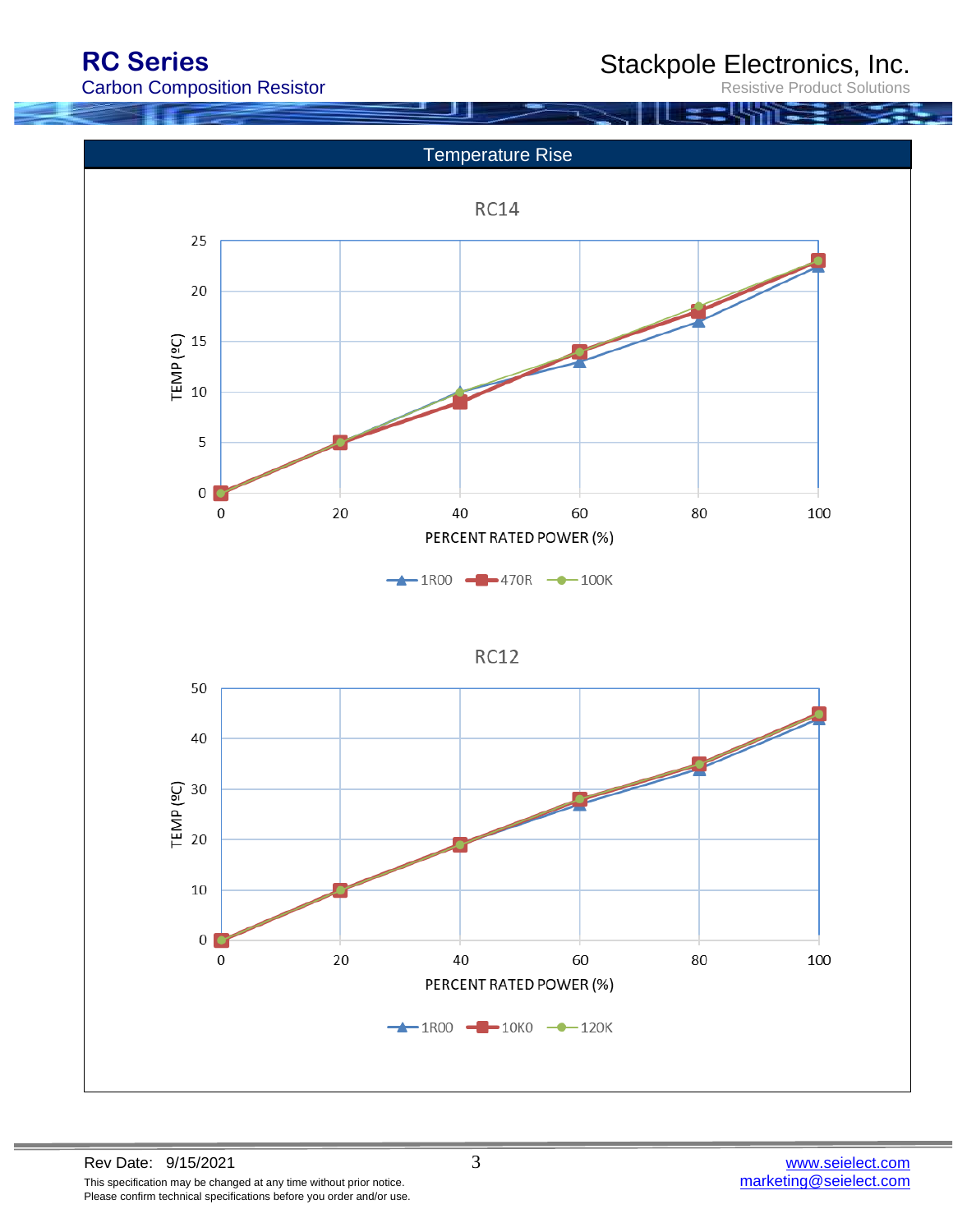# **RC Series**

Stackpole Electronics, Inc. **Product Solutions** 

Carbon Composition Resistor

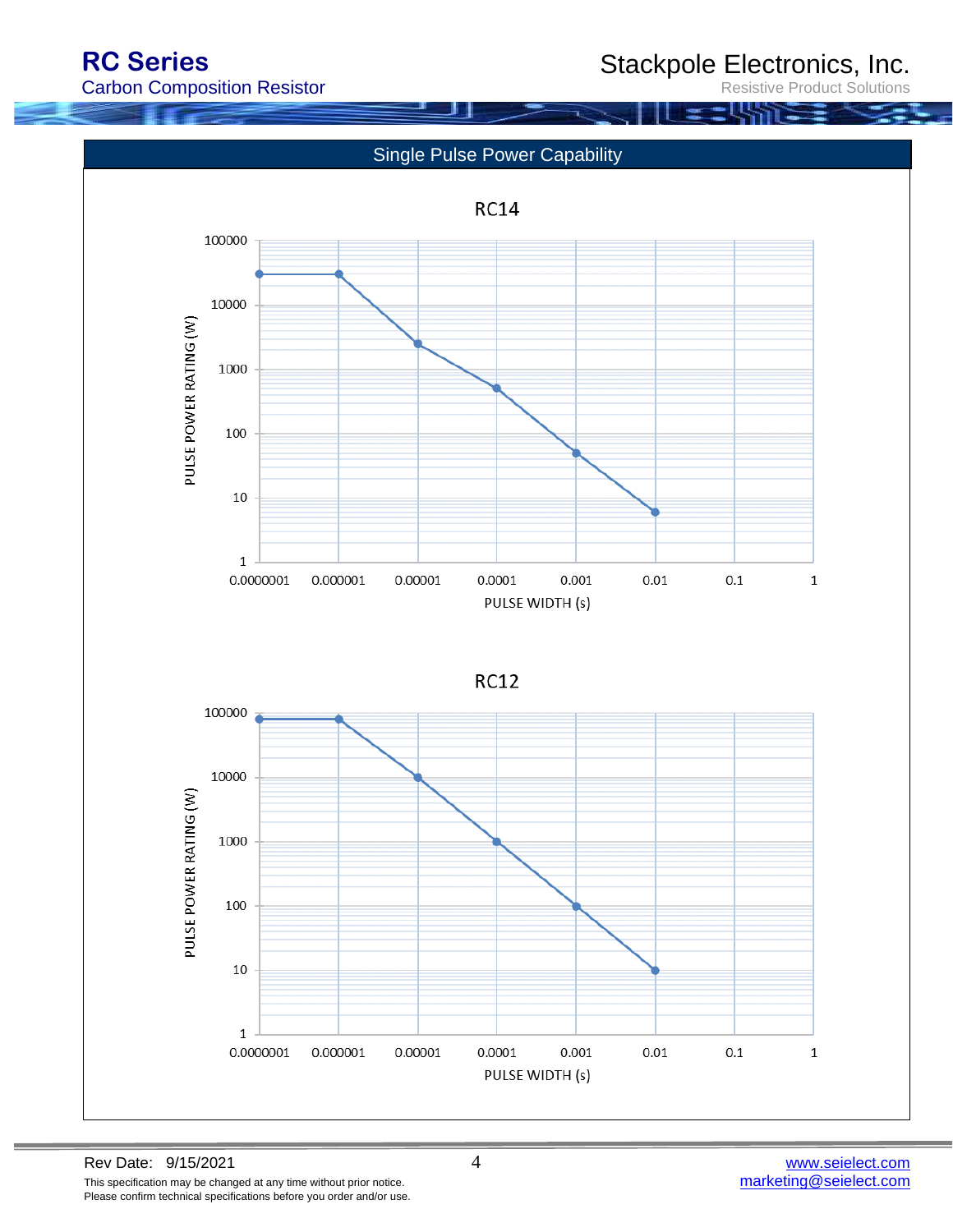**RC Series**

Stackpole Electronics, Inc.

Resistive Product Solutions

Carbon Composition Resistor

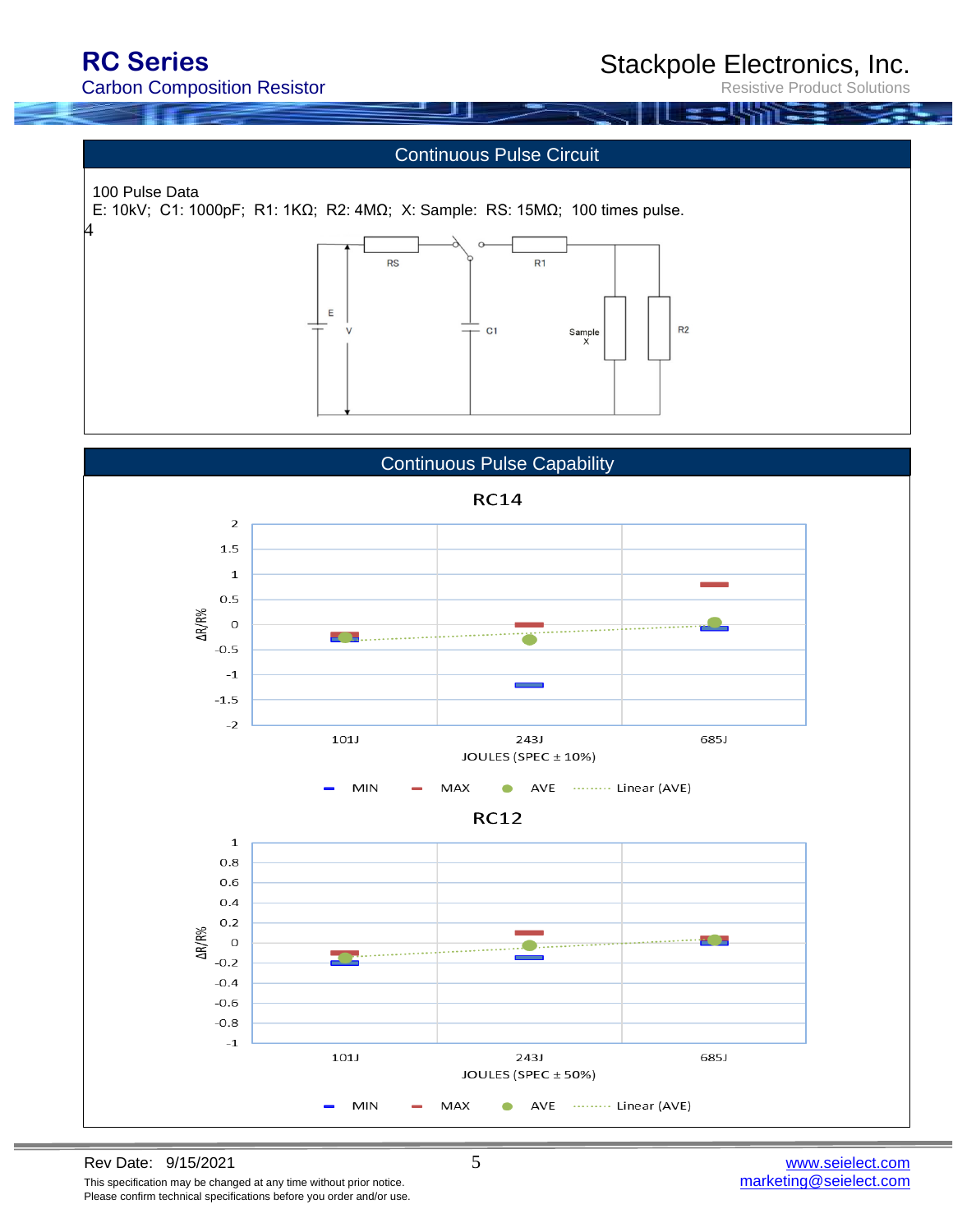4

Stackpole Electronics, Inc.

**Product Solutions** 

#### Continuous Pulse Circuit

 100 Pulse Data E: 10kV; C1: 1000pF; R1: 1KΩ; R2: 4MΩ; X: Sample: RS: 15MΩ; 100 times pulse.



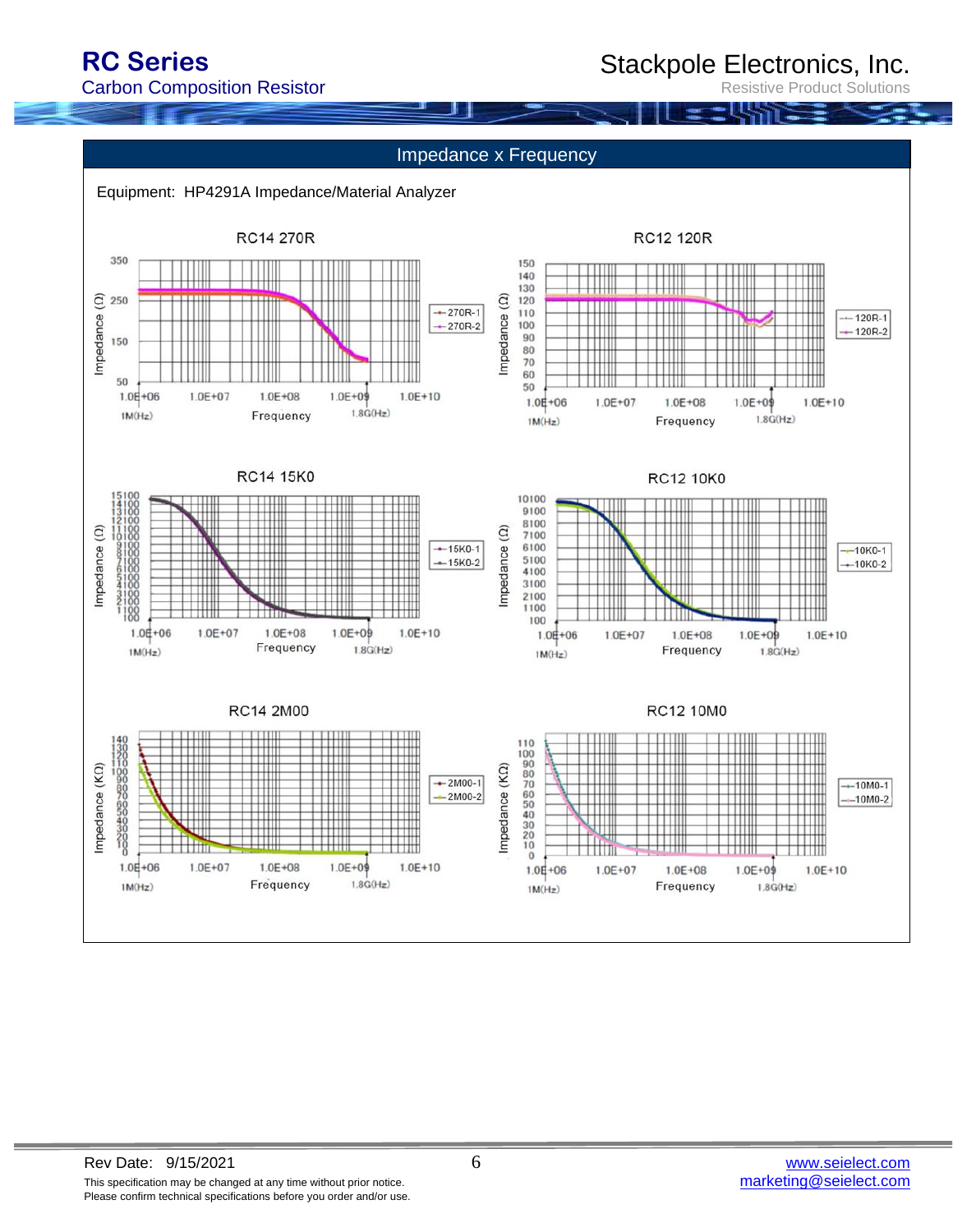Stackpole Electronics, Inc.

Resistive Product Solutions

#### Impedance x Frequency

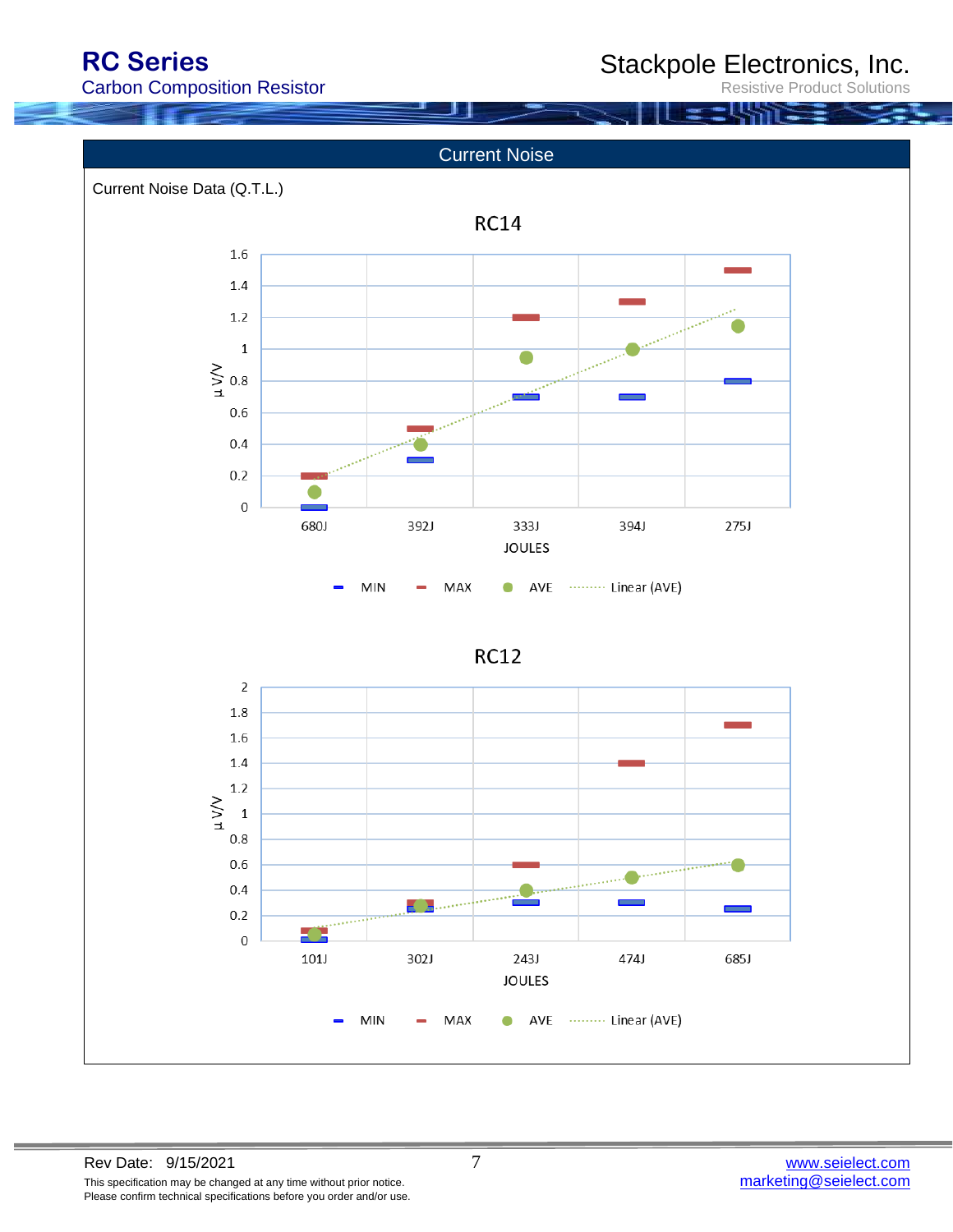Stackpole Electronics, Inc.

Resistive Product Solutions

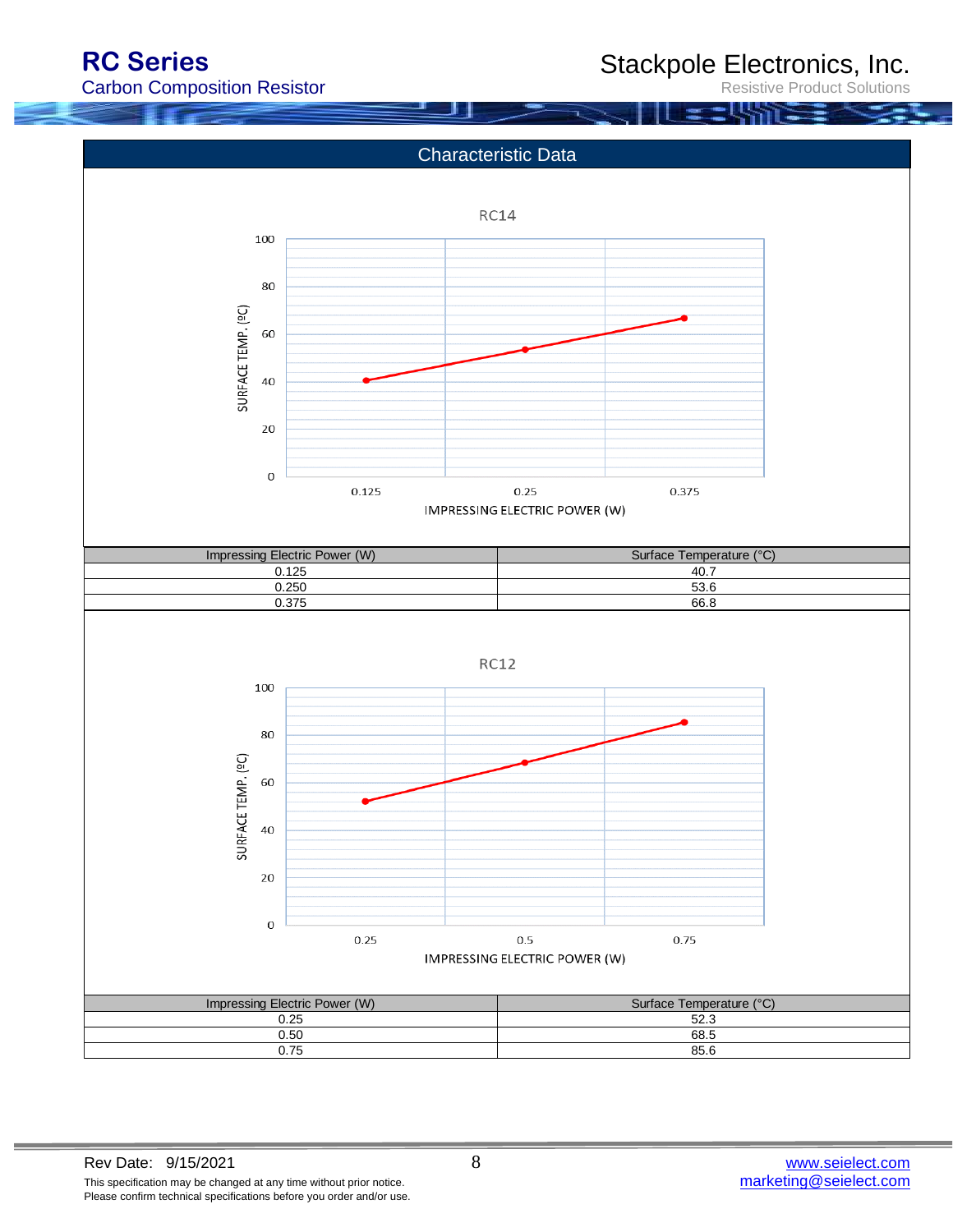Stackpole Electronics, Inc.

Resistive Product Solutions

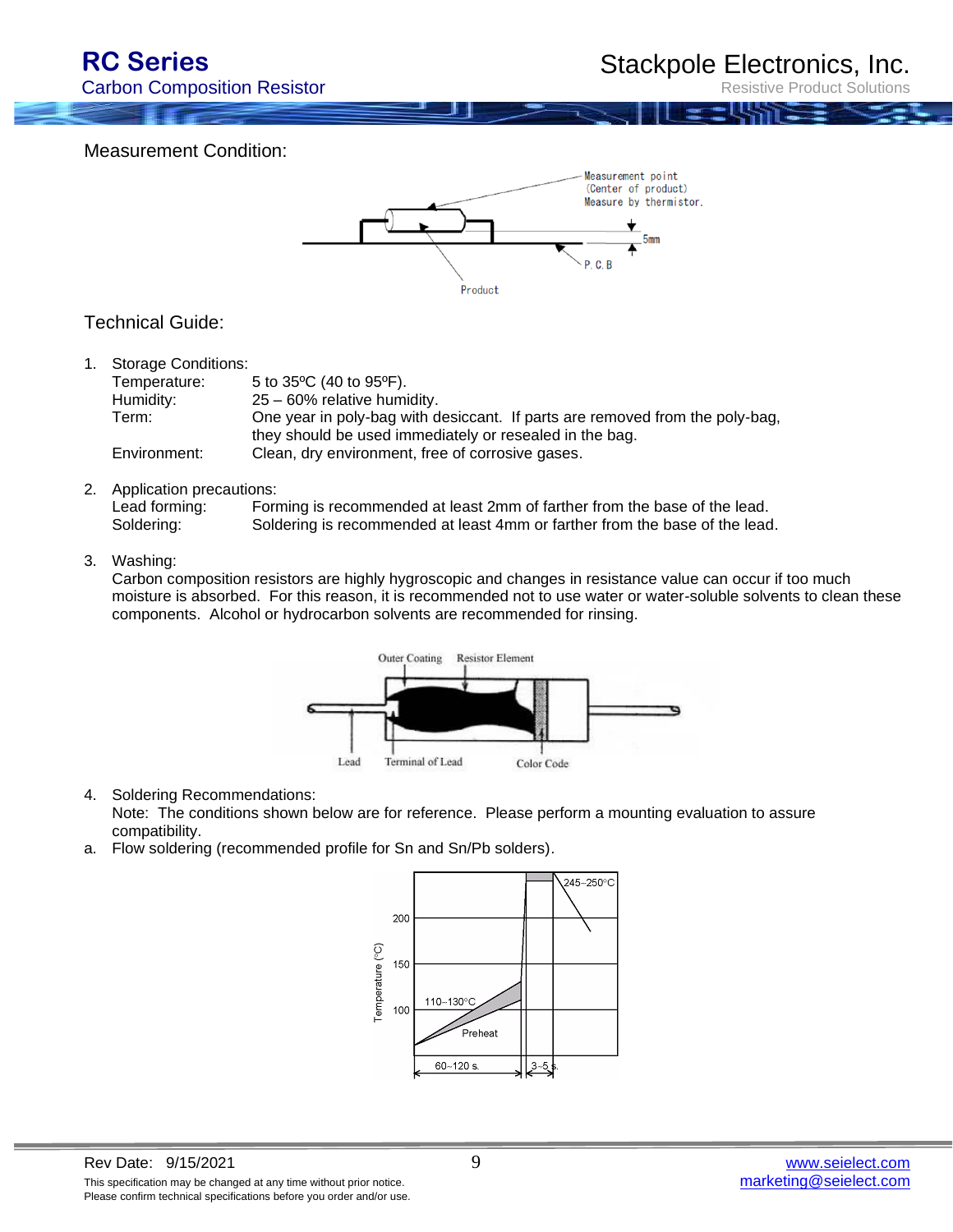**Product Solutions** 

Measurement Condition:



#### Technical Guide:

| 1. | <b>Storage Conditions:</b> |                                                                              |
|----|----------------------------|------------------------------------------------------------------------------|
|    | Temperature:               | 5 to 35°C (40 to 95°F).                                                      |
|    | Humidity:                  | 25 - 60% relative humidity.                                                  |
|    | Term:                      | One year in poly-bag with desiccant. If parts are removed from the poly-bag, |
|    |                            | they should be used immediately or resealed in the bag.                      |
|    | Environment:               | Clean, dry environment, free of corrosive gases.                             |
|    |                            |                                                                              |

2. Application precautions:

| Lead forming: | Forming is recommended at least 2mm of farther from the base of the lead.   |
|---------------|-----------------------------------------------------------------------------|
| Soldering:    | Soldering is recommended at least 4mm or farther from the base of the lead. |

#### 3. Washing:

Carbon composition resistors are highly hygroscopic and changes in resistance value can occur if too much moisture is absorbed. For this reason, it is recommended not to use water or water-soluble solvents to clean these components. Alcohol or hydrocarbon solvents are recommended for rinsing.



#### 4. Soldering Recommendations:

Note: The conditions shown below are for reference. Please perform a mounting evaluation to assure compatibility.

a. Flow soldering (recommended profile for Sn and Sn/Pb solders).

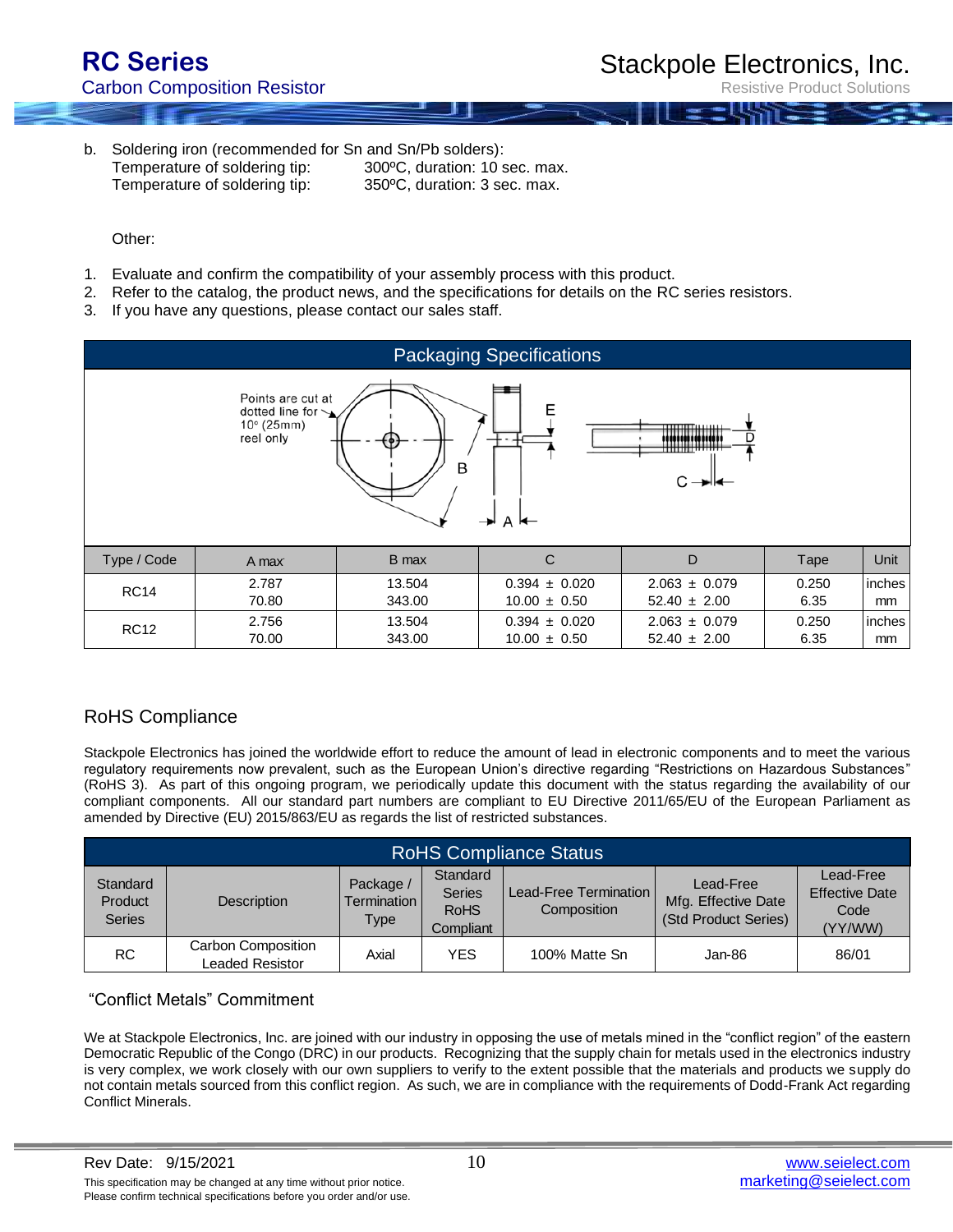**Product Solutions** 

b. Soldering iron (recommended for Sn and Sn/Pb solders): Temperature of soldering tip: 300ºC, duration: 10 sec. max. Temperature of soldering tip: 350ºC, duration: 3 sec. max.

Other:

- 1. Evaluate and confirm the compatibility of your assembly process with this product.
- 2. Refer to the catalog, the product news, and the specifications for details on the RC series resistors.
- 3. If you have any questions, please contact our sales staff.



### RoHS Compliance

Stackpole Electronics has joined the worldwide effort to reduce the amount of lead in electronic components and to meet the various regulatory requirements now prevalent, such as the European Union's directive regarding "Restrictions on Hazardous Substances" (RoHS 3). As part of this ongoing program, we periodically update this document with the status regarding the availability of our compliant components. All our standard part numbers are compliant to EU Directive 2011/65/EU of the European Parliament as amended by Directive (EU) 2015/863/EU as regards the list of restricted substances.

| <b>RoHS Compliance Status</b>        |                                       |                                           |                                                       |                                        |                                                          |                                                       |  |
|--------------------------------------|---------------------------------------|-------------------------------------------|-------------------------------------------------------|----------------------------------------|----------------------------------------------------------|-------------------------------------------------------|--|
| Standard<br>Product<br><b>Series</b> | <b>Description</b>                    | Package /<br>Termination I<br><b>Type</b> | Standard<br><b>Series</b><br><b>RoHS</b><br>Compliant | Lead-Free Termination I<br>Composition | Lead-Free<br>Mfg. Effective Date<br>(Std Product Series) | Lead-Free<br><b>Effective Date</b><br>Code<br>(YY/WW) |  |
| RC.                                  | Carbon Composition<br>Leaded Resistor | Axial                                     | YES                                                   | 100% Matte Sn                          | Jan-86                                                   | 86/01                                                 |  |

#### "Conflict Metals" Commitment

We at Stackpole Electronics, Inc. are joined with our industry in opposing the use of metals mined in the "conflict region" of the eastern Democratic Republic of the Congo (DRC) in our products. Recognizing that the supply chain for metals used in the electronics industry is very complex, we work closely with our own suppliers to verify to the extent possible that the materials and products we supply do not contain metals sourced from this conflict region. As such, we are in compliance with the requirements of Dodd-Frank Act regarding Conflict Minerals.